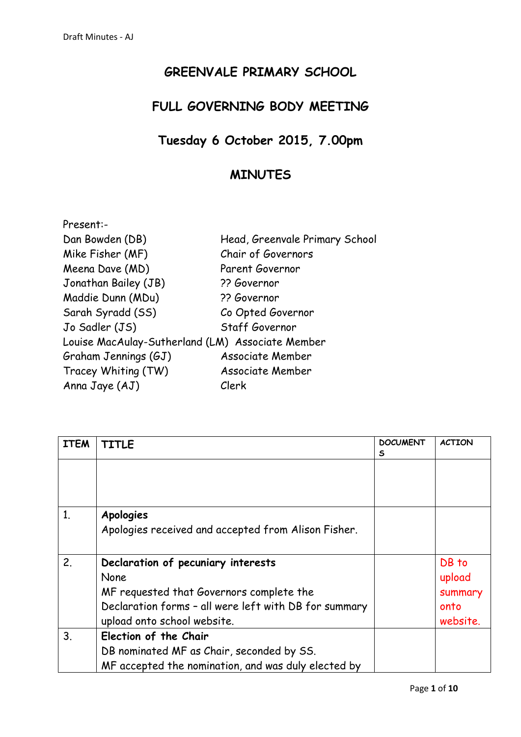## **GREENVALE PRIMARY SCHOOL**

## **FULL GOVERNING BODY MEETING**

## **Tuesday 6 October 2015, 7.00pm**

## **MINUTES**

| Present:-                                        |                                |
|--------------------------------------------------|--------------------------------|
| Dan Bowden (DB)                                  | Head, Greenvale Primary School |
| Mike Fisher (MF)                                 | Chair of Governors             |
| Meena Dave (MD)                                  | Parent Governor                |
| Jonathan Bailey (JB)                             | ?? Governor                    |
| Maddie Dunn (MDu)                                | ?? Governor                    |
| Sarah Syradd (SS)                                | Co Opted Governor              |
| Jo Sadler (JS)                                   | Staff Governor                 |
| Louise MacAulay-Sutherland (LM) Associate Member |                                |
| Graham Jennings (GJ)                             | <b>Associate Member</b>        |
| Tracey Whiting (TW)                              | Associate Member               |
| Anna Jaye (AJ)                                   | Clerk                          |

| <b>ITEM</b> | <b>TITLE</b>                                          | <b>DOCUMENT</b><br>S | <b>ACTION</b> |
|-------------|-------------------------------------------------------|----------------------|---------------|
|             |                                                       |                      |               |
| 1.          | <b>Apologies</b>                                      |                      |               |
|             | Apologies received and accepted from Alison Fisher.   |                      |               |
| 2.          | Declaration of pecuniary interests                    |                      | DB to         |
|             | None                                                  |                      | upload        |
|             | MF requested that Governors complete the              |                      | summary       |
|             | Declaration forms - all were left with DB for summary |                      | onto          |
|             | upload onto school website.                           |                      | website.      |
| 3.          | Election of the Chair                                 |                      |               |
|             | DB nominated MF as Chair, seconded by SS.             |                      |               |
|             | MF accepted the nomination, and was duly elected by   |                      |               |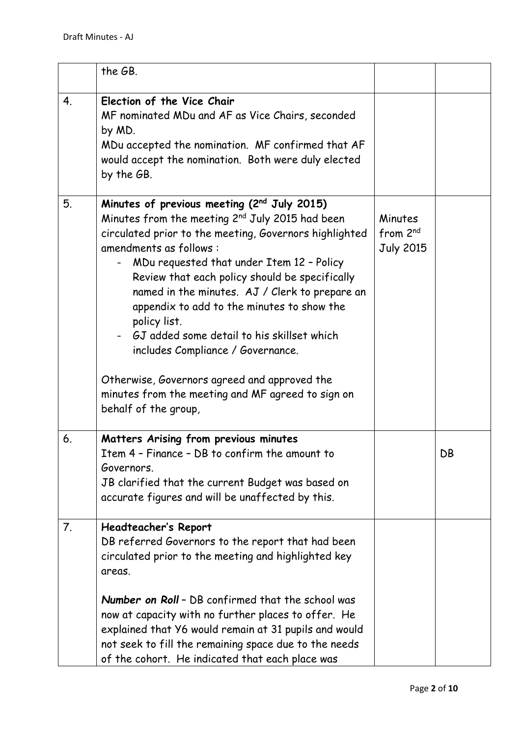|    | the GB.                                                                                                                                                                                                                                                                                                                                                                                                                                                                                                                                          |                                                     |    |
|----|--------------------------------------------------------------------------------------------------------------------------------------------------------------------------------------------------------------------------------------------------------------------------------------------------------------------------------------------------------------------------------------------------------------------------------------------------------------------------------------------------------------------------------------------------|-----------------------------------------------------|----|
| 4. | Election of the Vice Chair<br>MF nominated MDu and AF as Vice Chairs, seconded<br>by MD.<br>MDu accepted the nomination. MF confirmed that AF<br>would accept the nomination. Both were duly elected<br>by the GB.                                                                                                                                                                                                                                                                                                                               |                                                     |    |
| 5. | Minutes of previous meeting (2nd July 2015)<br>Minutes from the meeting 2 <sup>nd</sup> July 2015 had been<br>circulated prior to the meeting, Governors highlighted<br>amendments as follows:<br>MDu requested that under Item 12 - Policy<br>Review that each policy should be specifically<br>named in the minutes. AJ / Clerk to prepare an<br>appendix to add to the minutes to show the<br>policy list.<br>GJ added some detail to his skillset which<br>includes Compliance / Governance.<br>Otherwise, Governors agreed and approved the | Minutes<br>from 2 <sup>nd</sup><br><b>July 2015</b> |    |
|    | minutes from the meeting and MF agreed to sign on<br>behalf of the group,                                                                                                                                                                                                                                                                                                                                                                                                                                                                        |                                                     |    |
| 6. | Matters Arising from previous minutes<br>Item 4 - Finance - DB to confirm the amount to<br>Governors.<br>JB clarified that the current Budget was based on<br>accurate figures and will be unaffected by this.                                                                                                                                                                                                                                                                                                                                   |                                                     | DB |
| 7. | Headteacher's Report<br>DB referred Governors to the report that had been<br>circulated prior to the meeting and highlighted key<br>areas.<br><b>Number on Roll - DB confirmed that the school was</b><br>now at capacity with no further places to offer. He<br>explained that Y6 would remain at 31 pupils and would<br>not seek to fill the remaining space due to the needs<br>of the cohort. He indicated that each place was                                                                                                               |                                                     |    |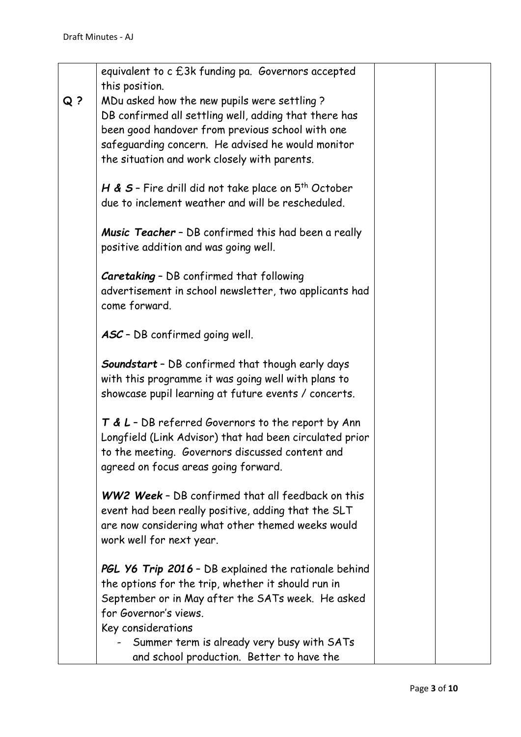|       | equivalent to c £3k funding pa. Governors accepted<br>this position.                    |  |
|-------|-----------------------------------------------------------------------------------------|--|
| $Q$ ? | MDu asked how the new pupils were settling?                                             |  |
|       | DB confirmed all settling well, adding that there has                                   |  |
|       | been good handover from previous school with one                                        |  |
|       | safeguarding concern. He advised he would monitor                                       |  |
|       | the situation and work closely with parents.                                            |  |
|       |                                                                                         |  |
|       | H & $S$ - Fire drill did not take place on $5^{th}$ October                             |  |
|       | due to inclement weather and will be rescheduled.                                       |  |
|       |                                                                                         |  |
|       | Music Teacher - DB confirmed this had been a really                                     |  |
|       | positive addition and was going well.                                                   |  |
|       |                                                                                         |  |
|       | Caretaking - DB confirmed that following                                                |  |
|       | advertisement in school newsletter, two applicants had                                  |  |
|       | come forward.                                                                           |  |
|       |                                                                                         |  |
|       | ASC - DB confirmed going well.                                                          |  |
|       | Soundstart - DB confirmed that though early days                                        |  |
|       | with this programme it was going well with plans to                                     |  |
|       | showcase pupil learning at future events / concerts.                                    |  |
|       |                                                                                         |  |
|       | $T$ & L - DB referred Governors to the report by Ann                                    |  |
|       | Longfield (Link Advisor) that had been circulated prior                                 |  |
|       | to the meeting. Governors discussed content and                                         |  |
|       | agreed on focus areas going forward.                                                    |  |
|       |                                                                                         |  |
|       | WW2 Week - DB confirmed that all feedback on this                                       |  |
|       | event had been really positive, adding that the SLT                                     |  |
|       | are now considering what other themed weeks would                                       |  |
|       | work well for next year.                                                                |  |
|       |                                                                                         |  |
|       | PGL Y6 Trip 2016 - DB explained the rationale behind                                    |  |
|       | the options for the trip, whether it should run in                                      |  |
|       | September or in May after the SATs week. He asked<br>for Governor's views.              |  |
|       |                                                                                         |  |
|       | Key considerations                                                                      |  |
|       | Summer term is already very busy with SATs<br>and school production. Better to have the |  |
|       |                                                                                         |  |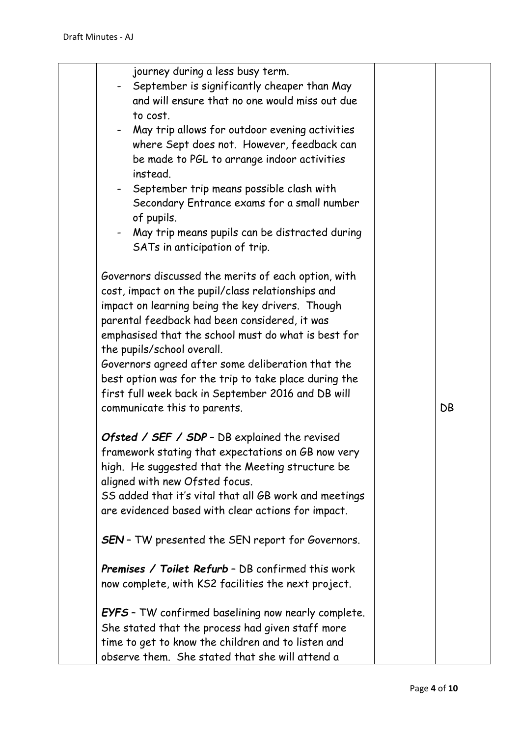| journey during a less busy term.<br>September is significantly cheaper than May<br>and will ensure that no one would miss out due<br>to cost.<br>May trip allows for outdoor evening activities<br>where Sept does not. However, feedback can<br>be made to PGL to arrange indoor activities<br>instead.<br>September trip means possible clash with<br>Secondary Entrance exams for a small number<br>of pupils.<br>May trip means pupils can be distracted during                                    |    |
|--------------------------------------------------------------------------------------------------------------------------------------------------------------------------------------------------------------------------------------------------------------------------------------------------------------------------------------------------------------------------------------------------------------------------------------------------------------------------------------------------------|----|
| SATs in anticipation of trip.                                                                                                                                                                                                                                                                                                                                                                                                                                                                          |    |
| Governors discussed the merits of each option, with<br>cost, impact on the pupil/class relationships and<br>impact on learning being the key drivers. Though<br>parental feedback had been considered, it was<br>emphasised that the school must do what is best for<br>the pupils/school overall.<br>Governors agreed after some deliberation that the<br>best option was for the trip to take place during the<br>first full week back in September 2016 and DB will<br>communicate this to parents. | DB |
| Ofsted / SEF / SDP - DB explained the revised                                                                                                                                                                                                                                                                                                                                                                                                                                                          |    |
| framework stating that expectations on GB now very                                                                                                                                                                                                                                                                                                                                                                                                                                                     |    |
| high. He suggested that the Meeting structure be                                                                                                                                                                                                                                                                                                                                                                                                                                                       |    |
| aligned with new Ofsted focus.                                                                                                                                                                                                                                                                                                                                                                                                                                                                         |    |
| SS added that it's vital that all GB work and meetings                                                                                                                                                                                                                                                                                                                                                                                                                                                 |    |
| are evidenced based with clear actions for impact.                                                                                                                                                                                                                                                                                                                                                                                                                                                     |    |
| <b>SEN</b> - TW presented the SEN report for Governors.                                                                                                                                                                                                                                                                                                                                                                                                                                                |    |
| <b>Premises / Toilet Refurb - DB confirmed this work</b>                                                                                                                                                                                                                                                                                                                                                                                                                                               |    |
| now complete, with KS2 facilities the next project.                                                                                                                                                                                                                                                                                                                                                                                                                                                    |    |
| <b>EYFS</b> - TW confirmed baselining now nearly complete.                                                                                                                                                                                                                                                                                                                                                                                                                                             |    |
| She stated that the process had given staff more                                                                                                                                                                                                                                                                                                                                                                                                                                                       |    |
| time to get to know the children and to listen and                                                                                                                                                                                                                                                                                                                                                                                                                                                     |    |
| observe them. She stated that she will attend a                                                                                                                                                                                                                                                                                                                                                                                                                                                        |    |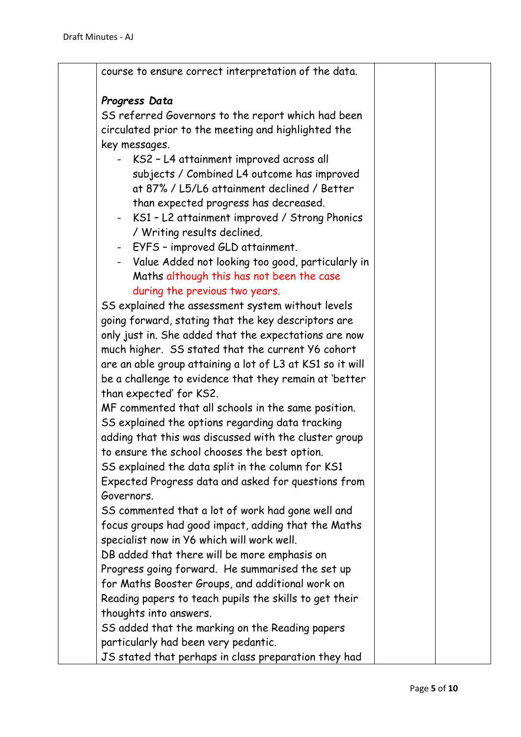| course to ensure correct interpretation of the data.      |  |
|-----------------------------------------------------------|--|
| Progress Data                                             |  |
| SS referred Governors to the report which had been        |  |
| circulated prior to the meeting and highlighted the       |  |
| key messages.                                             |  |
| KS2 - L4 attainment improved across all                   |  |
| subjects / Combined L4 outcome has improved               |  |
| at 87% / L5/L6 attainment declined / Better               |  |
| than expected progress has decreased.                     |  |
| - KS1 - L2 attainment improved / Strong Phonics           |  |
| / Writing results declined.                               |  |
| EYFS - improved GLD attainment.<br>$\sim 100$             |  |
| Value Added not looking too good, particularly in         |  |
| Maths although this has not been the case                 |  |
| during the previous two years.                            |  |
| SS explained the assessment system without levels         |  |
| going forward, stating that the key descriptors are       |  |
| only just in. She added that the expectations are now     |  |
| much higher. SS stated that the current Y6 cohort         |  |
| are an able group attaining a lot of L3 at KS1 so it will |  |
| be a challenge to evidence that they remain at 'better    |  |
| than expected' for KS2.                                   |  |
| MF commented that all schools in the same position.       |  |
| SS explained the options regarding data tracking          |  |
| adding that this was discussed with the cluster group     |  |
| to ensure the school chooses the best option.             |  |
| SS explained the data split in the column for KS1         |  |
| Expected Progress data and asked for questions from       |  |
| Governors.                                                |  |
| SS commented that a lot of work had gone well and         |  |
| focus groups had good impact, adding that the Maths       |  |
| specialist now in Y6 which will work well.                |  |
| DB added that there will be more emphasis on              |  |
| Progress going forward. He summarised the set up          |  |
| for Maths Booster Groups, and additional work on          |  |
| Reading papers to teach pupils the skills to get their    |  |
| thoughts into answers.                                    |  |
| SS added that the marking on the Reading papers           |  |
| particularly had been very pedantic.                      |  |
| JS stated that perhaps in class preparation they had      |  |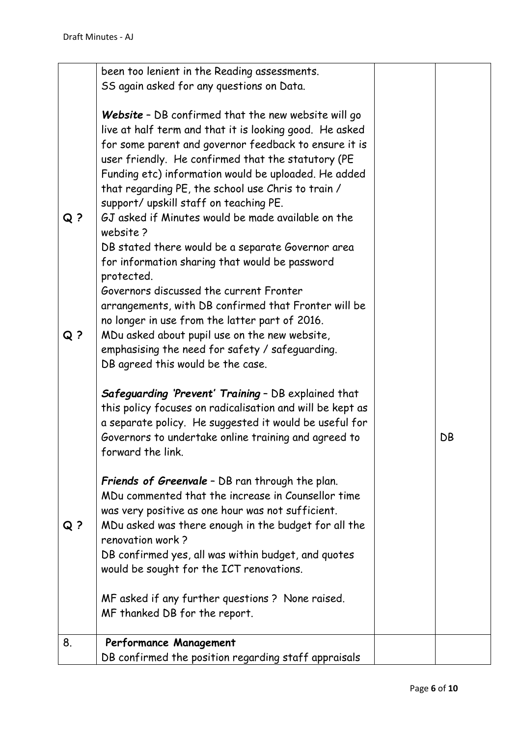|                | been too lenient in the Reading assessments.              |    |
|----------------|-----------------------------------------------------------|----|
|                | SS again asked for any questions on Data.                 |    |
|                |                                                           |    |
|                | Website - DB confirmed that the new website will go       |    |
|                |                                                           |    |
|                | live at half term and that it is looking good. He asked   |    |
|                | for some parent and governor feedback to ensure it is     |    |
|                | user friendly. He confirmed that the statutory (PE        |    |
|                | Funding etc) information would be uploaded. He added      |    |
|                | that regarding PE, the school use Chris to train /        |    |
|                | support/ upskill staff on teaching PE.                    |    |
| Q <sub>2</sub> | GJ asked if Minutes would be made available on the        |    |
|                | website?                                                  |    |
|                |                                                           |    |
|                | DB stated there would be a separate Governor area         |    |
|                | for information sharing that would be password            |    |
|                | protected.                                                |    |
|                | Governors discussed the current Fronter                   |    |
|                | arrangements, with DB confirmed that Fronter will be      |    |
|                | no longer in use from the latter part of 2016.            |    |
| Q ?            | MDu asked about pupil use on the new website,             |    |
|                | emphasising the need for safety / safeguarding.           |    |
|                |                                                           |    |
|                | DB agreed this would be the case.                         |    |
|                |                                                           |    |
|                | Safeguarding 'Prevent' Training - DB explained that       |    |
|                | this policy focuses on radicalisation and will be kept as |    |
|                | a separate policy. He suggested it would be useful for    |    |
|                | Governors to undertake online training and agreed to      | DB |
|                | forward the link.                                         |    |
|                |                                                           |    |
|                | <b>Friends of Greenvale</b> - DB ran through the plan.    |    |
|                | MDu commented that the increase in Counsellor time        |    |
|                | was very positive as one hour was not sufficient.         |    |
| $Q$ ?          | MDu asked was there enough in the budget for all the      |    |
|                |                                                           |    |
|                | renovation work?                                          |    |
|                | DB confirmed yes, all was within budget, and quotes       |    |
|                | would be sought for the ICT renovations.                  |    |
|                |                                                           |    |
|                | MF asked if any further questions? None raised.           |    |
|                | MF thanked DB for the report.                             |    |
|                |                                                           |    |
| 8.             | Performance Management                                    |    |
|                | DB confirmed the position regarding staff appraisals      |    |
|                |                                                           |    |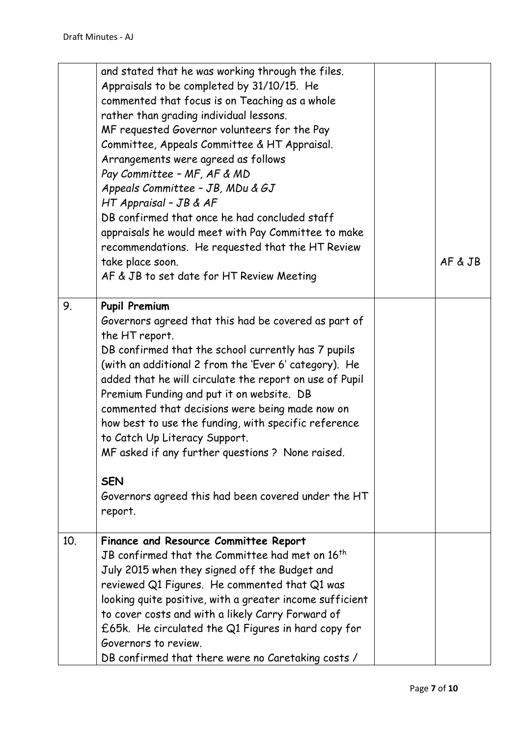|     | and stated that he was working through the files.<br>Appraisals to be completed by 31/10/15. He<br>commented that focus is on Teaching as a whole<br>rather than grading individual lessons.<br>MF requested Governor volunteers for the Pay<br>Committee, Appeals Committee & HT Appraisal.<br>Arrangements were agreed as follows<br>Pay Committee - MF, AF & MD<br>Appeals Committee - JB, MDu & GJ<br>HT Appraisal - JB & AF<br>DB confirmed that once he had concluded staff<br>appraisals he would meet with Pay Committee to make<br>recommendations. He requested that the HT Review<br>take place soon.<br>AF & JB to set date for HT Review Meeting | AF & JB |
|-----|---------------------------------------------------------------------------------------------------------------------------------------------------------------------------------------------------------------------------------------------------------------------------------------------------------------------------------------------------------------------------------------------------------------------------------------------------------------------------------------------------------------------------------------------------------------------------------------------------------------------------------------------------------------|---------|
| 9.  | <b>Pupil Premium</b><br>Governors agreed that this had be covered as part of<br>the HT report.<br>DB confirmed that the school currently has 7 pupils<br>(with an additional 2 from the 'Ever 6' category). He<br>added that he will circulate the report on use of Pupil<br>Premium Funding and put it on website. DB<br>commented that decisions were being made now on<br>how best to use the funding, with specific reference<br>to Catch Up Literacy Support.<br>MF asked if any further questions? None raised.<br><b>SEN</b><br>Governors agreed this had been covered under the HT<br>report.                                                         |         |
| 10. | Finance and Resource Committee Report<br>JB confirmed that the Committee had met on 16 <sup>th</sup><br>July 2015 when they signed off the Budget and<br>reviewed Q1 Figures. He commented that Q1 was<br>looking quite positive, with a greater income sufficient<br>to cover costs and with a likely Carry Forward of<br>£65k. He circulated the Q1 Figures in hard copy for<br>Governors to review.<br>DB confirmed that there were no Caretaking costs /                                                                                                                                                                                                  |         |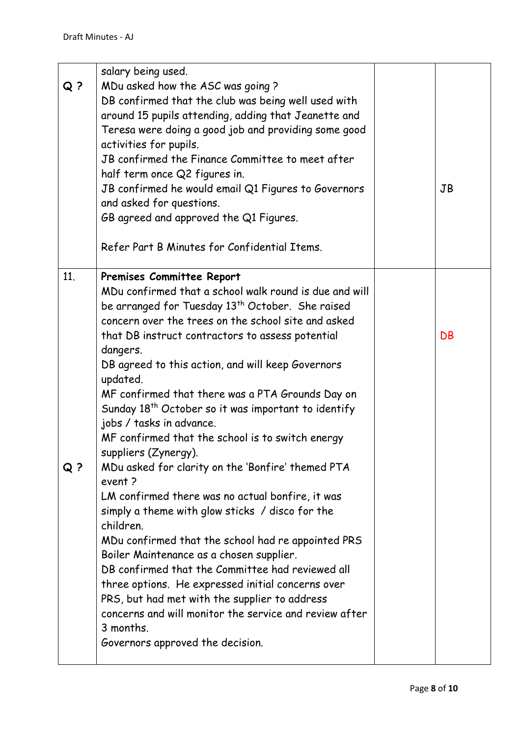| $Q$ ? | salary being used.<br>MDu asked how the ASC was going?<br>DB confirmed that the club was being well used with<br>around 15 pupils attending, adding that Jeanette and<br>Teresa were doing a good job and providing some good<br>activities for pupils.<br>JB confirmed the Finance Committee to meet after<br>half term once Q2 figures in.<br>JB confirmed he would email Q1 Figures to Governors<br>and asked for questions.<br>GB agreed and approved the Q1 Figures.<br>Refer Part B Minutes for Confidential Items.                                                                                                                                                                                                                                                                                                                                                                                                                                                                                                                                                                               | <b>JB</b> |
|-------|---------------------------------------------------------------------------------------------------------------------------------------------------------------------------------------------------------------------------------------------------------------------------------------------------------------------------------------------------------------------------------------------------------------------------------------------------------------------------------------------------------------------------------------------------------------------------------------------------------------------------------------------------------------------------------------------------------------------------------------------------------------------------------------------------------------------------------------------------------------------------------------------------------------------------------------------------------------------------------------------------------------------------------------------------------------------------------------------------------|-----------|
| 11.   | Premises Committee Report                                                                                                                                                                                                                                                                                                                                                                                                                                                                                                                                                                                                                                                                                                                                                                                                                                                                                                                                                                                                                                                                               |           |
| Q ?   | MDu confirmed that a school walk round is due and will<br>be arranged for Tuesday 13 <sup>th</sup> October. She raised<br>concern over the trees on the school site and asked<br>that DB instruct contractors to assess potential<br>dangers.<br>DB agreed to this action, and will keep Governors<br>updated.<br>MF confirmed that there was a PTA Grounds Day on<br>Sunday 18 <sup>th</sup> October so it was important to identify<br>jobs / tasks in advance.<br>MF confirmed that the school is to switch energy<br>suppliers (Zynergy).<br>MDu asked for clarity on the 'Bonfire' themed PTA<br>event?<br>LM confirmed there was no actual bonfire, it was<br>simply a theme with glow sticks / disco for the<br>children.<br>MDu confirmed that the school had re appointed PRS<br>Boiler Maintenance as a chosen supplier.<br>DB confirmed that the Committee had reviewed all<br>three options. He expressed initial concerns over<br>PRS, but had met with the supplier to address<br>concerns and will monitor the service and review after<br>3 months.<br>Governors approved the decision. | DB        |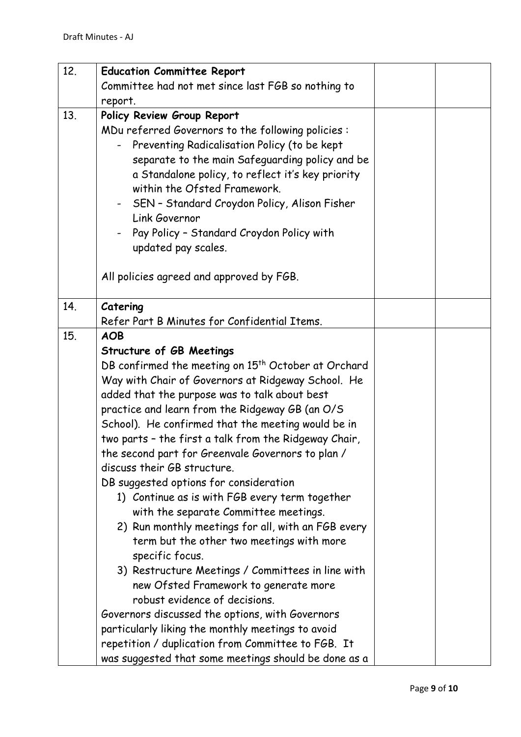| 12. | <b>Education Committee Report</b>                                                 |  |
|-----|-----------------------------------------------------------------------------------|--|
|     | Committee had not met since last FGB so nothing to                                |  |
|     | report.                                                                           |  |
| 13. | Policy Review Group Report                                                        |  |
|     | MDu referred Governors to the following policies:                                 |  |
|     | Preventing Radicalisation Policy (to be kept                                      |  |
|     | separate to the main Safeguarding policy and be                                   |  |
|     | a Standalone policy, to reflect it's key priority<br>within the Ofsted Framework. |  |
|     |                                                                                   |  |
|     | SEN - Standard Croydon Policy, Alison Fisher<br>Link Governor                     |  |
|     | Pay Policy - Standard Croydon Policy with                                         |  |
|     | updated pay scales.                                                               |  |
|     |                                                                                   |  |
|     | All policies agreed and approved by FGB.                                          |  |
|     |                                                                                   |  |
| 14. | Catering                                                                          |  |
|     | Refer Part B Minutes for Confidential Items.                                      |  |
| 15. | <b>AOB</b>                                                                        |  |
|     | Structure of GB Meetings                                                          |  |
|     | DB confirmed the meeting on 15 <sup>th</sup> October at Orchard                   |  |
|     | Way with Chair of Governors at Ridgeway School. He                                |  |
|     | added that the purpose was to talk about best                                     |  |
|     | practice and learn from the Ridgeway GB (an O/S                                   |  |
|     | School). He confirmed that the meeting would be in                                |  |
|     | two parts - the first a talk from the Ridgeway Chair,                             |  |
|     | the second part for Greenvale Governors to plan /<br>discuss their GB structure.  |  |
|     | DB suggested options for consideration                                            |  |
|     | 1) Continue as is with FGB every term together                                    |  |
|     | with the separate Committee meetings.                                             |  |
|     | 2) Run monthly meetings for all, with an FGB every                                |  |
|     | term but the other two meetings with more                                         |  |
|     | specific focus.                                                                   |  |
|     | 3) Restructure Meetings / Committees in line with                                 |  |
|     | new Ofsted Framework to generate more                                             |  |
|     | robust evidence of decisions.                                                     |  |
|     | Governors discussed the options, with Governors                                   |  |
|     | particularly liking the monthly meetings to avoid                                 |  |
|     | repetition / duplication from Committee to FGB. It                                |  |
|     | was suggested that some meetings should be done as a                              |  |